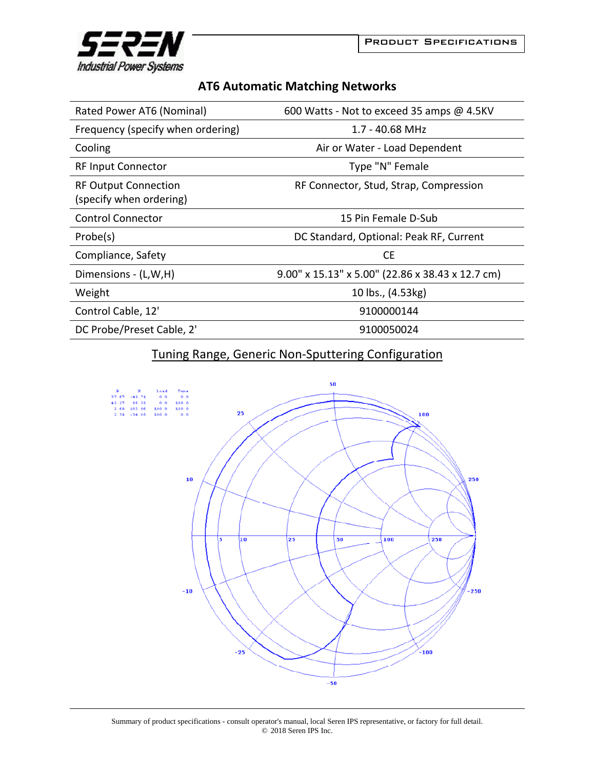

## **AT6 Automatic Matching Networks**

| Rated Power AT6 (Nominal)                              | 600 Watts - Not to exceed 35 amps @ 4.5KV        |
|--------------------------------------------------------|--------------------------------------------------|
| Frequency (specify when ordering)                      | $1.7 - 40.68$ MHz                                |
| Cooling                                                | Air or Water - Load Dependent                    |
| <b>RF Input Connector</b>                              | Type "N" Female                                  |
| <b>RF Output Connection</b><br>(specify when ordering) | RF Connector, Stud, Strap, Compression           |
| <b>Control Connector</b>                               | 15 Pin Female D-Sub                              |
| Probe(s)                                               | DC Standard, Optional: Peak RF, Current          |
| Compliance, Safety                                     | <b>CE</b>                                        |
| Dimensions - (L,W,H)                                   | 9.00" x 15.13" x 5.00" (22.86 x 38.43 x 12.7 cm) |
| Weight                                                 | 10 lbs., (4.53kg)                                |
| Control Cable, 12'                                     | 9100000144                                       |
| DC Probe/Preset Cable, 2'                              | 9100050024                                       |

## Tuning Range, Generic Non‐Sputtering Configuration